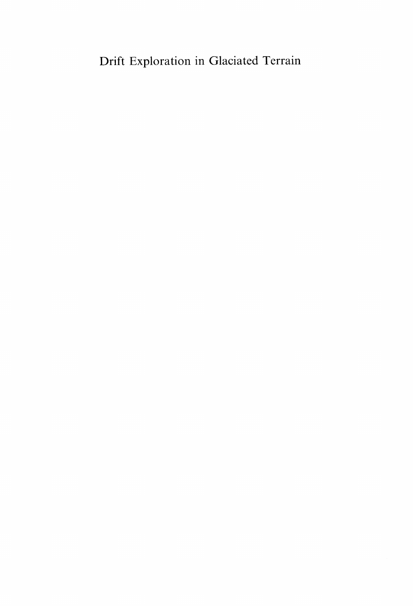## Drift Exploration in Glaciated Terrain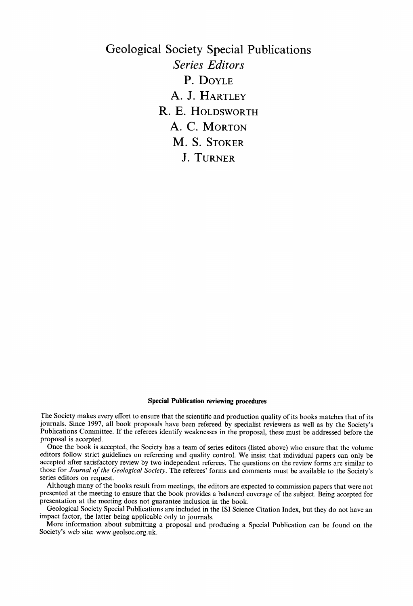**Geological Society Special Publications**  *Series Editors*  **P. DOYLE A. J. HARTLEY R. E. HOLDSWORTH A. C. MORTON M. S. STOKER J. TURNER** 

#### **Special Publication reviewing procedures**

The Society makes every effort to ensure that the scientific and production quality of its books matches that of its journals. Since 1997, all book proposals have been refereed by specialist reviewers as well as by the Society's Publications Committee. If the referees identify weaknesses in the proposal, these must be addressed before the proposal is accepted.

Once the book is accepted, the Society has a team of series editors (listed above) who ensure that the volume editors follow strict guidelines on refereeing and quality control. We insist that individual papers can only be accepted after satisfactory review by two independent referees. The questions on the review forms are similar to those for *Journal of the Geological Society.* The referees' forms and comments must be available to the Society's series editors on request.

Although many of the books result from meetings, the editors are expected to commission papers that were not presented at the meeting to ensure that the book provides a balanced coverage of the subject. Being accepted for presentation at the meeting does not guarantee inclusion in the book.

Geological Society Special Publications are included in the ISI Science Citation Index, but they do not have an impact factor, the latter being applicable only to journals.

More information about submitting a proposal and producing a Special Publication can be found on the Society's web site: www.geolsoc.org.uk.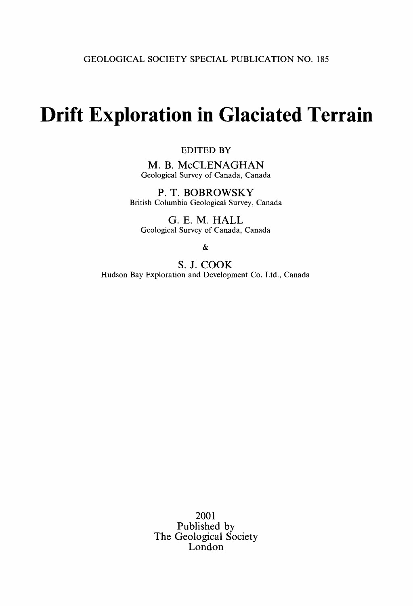# **Drift Exploration in Glaciated Terrain**

#### EDITED BY

M. B. McCLENAGHAN Geological Survey of Canada, Canada

**P. T.** BOBROWSKY British Columbia Geological Survey, Canada

G. E. M. HALL Geological Survey of Canada, Canada

&

S. J. COOK Hudson Bay Exploration and Development Co. Ltd., Canada

> 2001 Published by The Geological Society London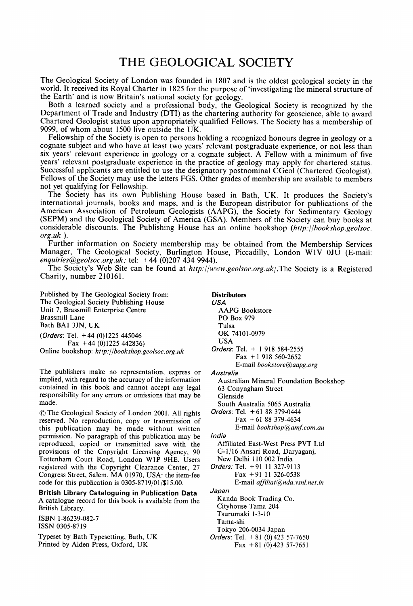### **THE GEOLOGICAL SOCIETY**

The Geological Society of London was founded in 1807 and is the oldest geological society in the world. It received its Royal Charter in 1825 for the purpose of'investigating the mineral structure of the Earth' and is now Britain's national society for geology.

Both a learned society and a professional body, the Geological Society is recognized by the Department of Trade and Industry (DTI) as the chartering authority for geoscience, able to award Chartered Geologist status upon appropriately qualified Fellows. The Society has a membership of 9099, of whom about 1500 live outside the UK.

Fellowship of the Society is open to persons holding a recognized honours degree in geology or a cognate subject and who have at least two years' relevant postgraduate experience, or not less than six years' relevant experience in geology or a cognate subject. A Fellow with a minimum of five years' relevant postgraduate experience in the practice of geology may apply for chartered status. Successful applicants are entitled to use the designatory postnominal CGeol (Chartered Geologist). Fellows of the Society may use the letters FGS. Other grades of membership are available to members not yet qualifying for Fellowship.

The Society has its own Publishing House based in Bath, UK. It produces the Society's international journals, books and maps, and is the European distributor for publications of the American Association of Petroleum Geologists (AAPG), the Society for Sedimentary Geology (SEPM) and the Geological Society of America (GSA). Members of the Society can buy books at considerable discounts. The Publishing House has an online bookshop *(http.'//bookshop.geolsoc. org.uk ).* 

Further information on Society membership may be obtained from the Membership Services Manager, The Geological Society, Burlington House, Piccadilly, London W1V 0JU (E-mail: *enquiriesC~geolsoc.org.uk;* tel: + 44 (0)207 434 9944).

The Society's Web Site can be found at *http://www.geolsoc.org.uk/.The* Society is a Registered Charity, number 210161.

Published by The Geological Society from: The Geological Society Publishing House Unit 7, Brassmill Enterprise Centre Brassmill Lane Bath BAI 3JN, UK *(Orders:* Tel. +44 (0)!225 445046

Fax  $+44$  (0)1225 442836) Online bookshop: *http://bookshop.geolsoc.org.uk* 

The publishers make no representation, express or implied, with regard to the accuracy of the information contained in this book and cannot accept any legal responsibility for any errors or omissions that may be made.

9 The Geological Society of London 2001. All rights reserved. No reproduction, copy or transmission of this publication may be made without written permission. No paragraph of this publication may be reproduced, copied or transmitted save with the provisions of the Copyright Licensing Agency, 90 Tottenham Court Road, London W1P 9HE. Users registered with the Copyright Clearance Center, 27 Congress Street, Salem, MA 01970, USA: the item-fee code for this publication is 0305-8719/01/\$15.00.

**British Library Cataloguing in Publication Data**  A catalogue record for this book is available from the British Library.

ISBN 1-86239-082-7 ISSN 0305-8719

Typeset by Bath Typesetting, Bath, UK Printed by Alden Press, Oxford, UK

**Distributors**  *USA*  AAPG Bookstore PO Box 979 Tulsa OK 74101-0979 USA *Orders:* Tel. + 1 918 584-2555 Fax + 1 918 560-2652 E-mail *bookstore@aapg.org Australia*  Australian Mineral Foundation Bookshop 63 Conyngham Street Glenside South Australia 5065 Australia *Orders:* Tel. + 61 88 379-0444 Fax +61 88 379-4634 E-mail *bookshop@amf.com.au India*  Affiliated East-West Press PVT Ltd G-l/16 Ansari Road, Daryaganj, New Delhi 110 002 India *Orders:* Tel. +91 11 327-9113 Fax +91 11 326-0538 E-mail *affiliat@nda, vsnLnet.in Japan*  Kanda Book Trading Co. Cityhouse Tama 204 Tsurumaki 1-3-10 Tama-shi Tokyo 206-0034 Japan *Orders:* Tel. +81 (0)423 57-7650 Fax  $+81$  (0) 423 57-7651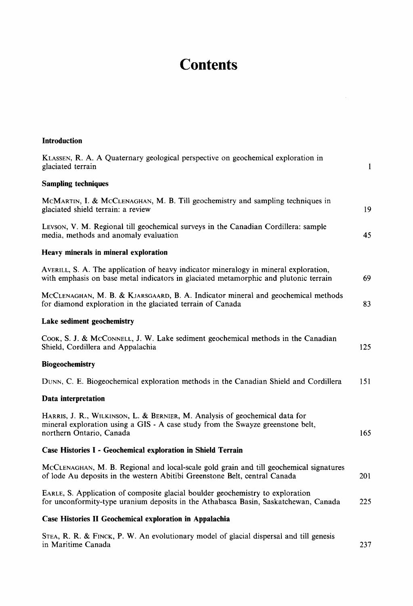## **Contents**

**Introduction** 

| KLASSEN, R. A. A Quaternary geological perspective on geochemical exploration in<br>glaciated terrain                                                                                      | $\mathbf{1}$ |
|--------------------------------------------------------------------------------------------------------------------------------------------------------------------------------------------|--------------|
| <b>Sampling techniques</b>                                                                                                                                                                 |              |
| MCMARTIN, I. & MCCLENAGHAN, M. B. Till geochemistry and sampling techniques in<br>glaciated shield terrain: a review                                                                       | 19           |
| Levson, V. M. Regional till geochemical surveys in the Canadian Cordillera: sample<br>media, methods and anomaly evaluation                                                                | 45           |
| Heavy minerals in mineral exploration                                                                                                                                                      |              |
| AVERILL, S. A. The application of heavy indicator mineralogy in mineral exploration,<br>with emphasis on base metal indicators in glaciated metamorphic and plutonic terrain               | 69           |
| MCCLENAGHAN, M. B. & KJARSGAARD, B. A. Indicator mineral and geochemical methods<br>for diamond exploration in the glaciated terrain of Canada                                             | 83           |
| Lake sediment geochemistry                                                                                                                                                                 |              |
| COOK, S. J. & McCONNELL, J. W. Lake sediment geochemical methods in the Canadian<br>Shield, Cordillera and Appalachia                                                                      | 125          |
| <b>Biogeochemistry</b>                                                                                                                                                                     |              |
| DUNN, C. E. Biogeochemical exploration methods in the Canadian Shield and Cordillera                                                                                                       | 151          |
| Data interpretation                                                                                                                                                                        |              |
| HARRIS, J. R., WILKINSON, L. & BERNIER, M. Analysis of geochemical data for<br>mineral exploration using a GIS - A case study from the Swayze greenstone belt,<br>northern Ontario, Canada | 165          |
| Case Histories I - Geochemical exploration in Shield Terrain                                                                                                                               |              |
| MCCLENAGHAN, M. B. Regional and local-scale gold grain and till geochemical signatures<br>of lode Au deposits in the western Abitibi Greenstone Belt, central Canada                       | 201          |
| EARLE, S. Application of composite glacial boulder geochemistry to exploration<br>for unconformity-type uranium deposits in the Athabasca Basin, Saskatchewan, Canada                      | 225          |
| Case Histories II Geochemical exploration in Appalachia                                                                                                                                    |              |
| STEA, R. R. & FINCK, P. W. An evolutionary model of glacial dispersal and till genesis                                                                                                     |              |

in Maritime Canada 237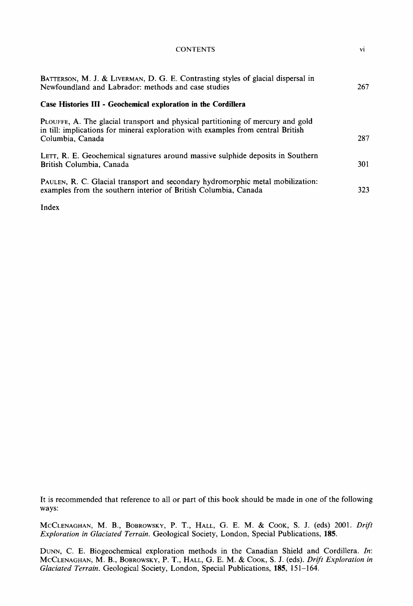| <b>CONTENTS</b>                                                                                                                                                                         | vi         |
|-----------------------------------------------------------------------------------------------------------------------------------------------------------------------------------------|------------|
| BATTERSON, M. J. & LIVERMAN, D. G. E. Contrasting styles of glacial dispersal in<br>Newfoundland and Labrador: methods and case studies                                                 | 267        |
| Case Histories III - Geochemical exploration in the Cordillera                                                                                                                          |            |
| PLOUFFE, A. The glacial transport and physical partitioning of mercury and gold<br>in till: implications for mineral exploration with examples from central British<br>Columbia, Canada | 287        |
| LETT, R. E. Geochemical signatures around massive sulphide deposits in Southern<br>British Columbia, Canada                                                                             | <b>301</b> |
| PAULEN, R. C. Glacial transport and secondary hydromorphic metal mobilization:<br>examples from the southern interior of British Columbia, Canada                                       | 323        |

Index

It is recommended that reference to all or part of this book should be made in one of the following ways:

MCCLENAGHAN, M. B., BOBROWSKY, P. T., HALL, G. E. M. & COOK, S. J. (eds) 2001. *Drift Exploration in Glaciated Terrain.* Geological Society, London, Special Publications, 185.

DUNN, C. E. Biogeochemical exploration methods in the Canadian Shield and Cordillera. In: MCCLENAGHAN, M. B., BOBROWSKY, P. T., HALL, G. E. M. & COOK, S. J. (eds). *Drift Exploration in Glaciated Terrain.* Geological Society, London, Special Publications, 185, 151-164.